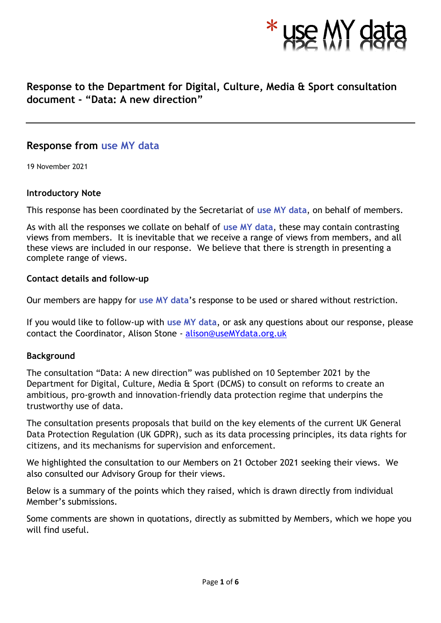

# **Response to the Department for Digital, Culture, Media & Sport consultation document - "Data: A new direction"**

## **Response from use MY data**

19 November 2021

### **Introductory Note**

This response has been coordinated by the Secretariat of **use MY data**, on behalf of members.

As with all the responses we collate on behalf of **use MY data**, these may contain contrasting views from members. It is inevitable that we receive a range of views from members, and all these views are included in our response. We believe that there is strength in presenting a complete range of views.

### **Contact details and follow-up**

Our members are happy for **use MY data**'s response to be used or shared without restriction.

If you would like to follow-up with **use MY data**, or ask any questions about our response, please contact the Coordinator, Alison Stone - [alison@useMYdata.org.uk](mailto:alison@useMYdata.org.uk)

## **Background**

The consultation "Data: A new direction" was published on 10 September 2021 by the Department for Digital, Culture, Media & Sport (DCMS) to consult on reforms to create an ambitious, pro-growth and innovation-friendly data protection regime that underpins the trustworthy use of data.

The consultation presents proposals that build on the key elements of the current UK General Data Protection Regulation (UK GDPR), such as its data processing principles, its data rights for citizens, and its mechanisms for supervision and enforcement.

We highlighted the consultation to our Members on 21 October 2021 seeking their views. We also consulted our Advisory Group for their views.

Below is a summary of the points which they raised, which is drawn directly from individual Member's submissions.

Some comments are shown in quotations, directly as submitted by Members, which we hope you will find useful.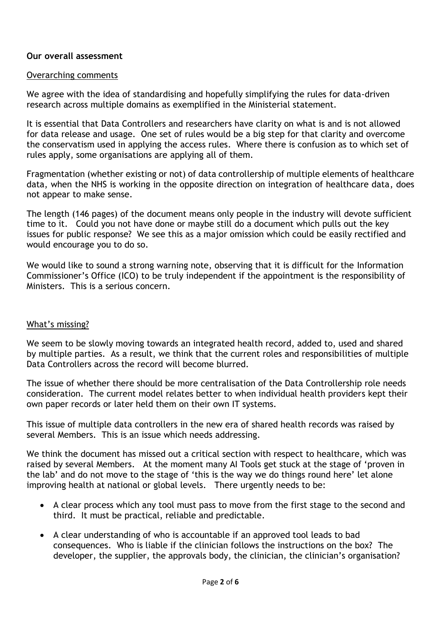## **Our overall assessment**

## Overarching comments

We agree with the idea of standardising and hopefully simplifying the rules for data-driven research across multiple domains as exemplified in the Ministerial statement.

It is essential that Data Controllers and researchers have clarity on what is and is not allowed for data release and usage. One set of rules would be a big step for that clarity and overcome the conservatism used in applying the access rules. Where there is confusion as to which set of rules apply, some organisations are applying all of them.

Fragmentation (whether existing or not) of data controllership of multiple elements of healthcare data, when the NHS is working in the opposite direction on integration of healthcare data, does not appear to make sense.

The length (146 pages) of the document means only people in the industry will devote sufficient time to it. Could you not have done or maybe still do a document which pulls out the key issues for public response? We see this as a major omission which could be easily rectified and would encourage you to do so.

We would like to sound a strong warning note, observing that it is difficult for the Information Commissioner's Office (ICO) to be truly independent if the appointment is the responsibility of Ministers. This is a serious concern.

## What's missing?

We seem to be slowly moving towards an integrated health record, added to, used and shared by multiple parties. As a result, we think that the current roles and responsibilities of multiple Data Controllers across the record will become blurred.

The issue of whether there should be more centralisation of the Data Controllership role needs consideration. The current model relates better to when individual health providers kept their own paper records or later held them on their own IT systems.

This issue of multiple data controllers in the new era of shared health records was raised by several Members. This is an issue which needs addressing.

We think the document has missed out a critical section with respect to healthcare, which was raised by several Members. At the moment many AI Tools get stuck at the stage of 'proven in the lab' and do not move to the stage of 'this is the way we do things round here' let alone improving health at national or global levels. There urgently needs to be:

- A clear process which any tool must pass to move from the first stage to the second and third. It must be practical, reliable and predictable.
- A clear understanding of who is accountable if an approved tool leads to bad consequences. Who is liable if the clinician follows the instructions on the box? The developer, the supplier, the approvals body, the clinician, the clinician's organisation?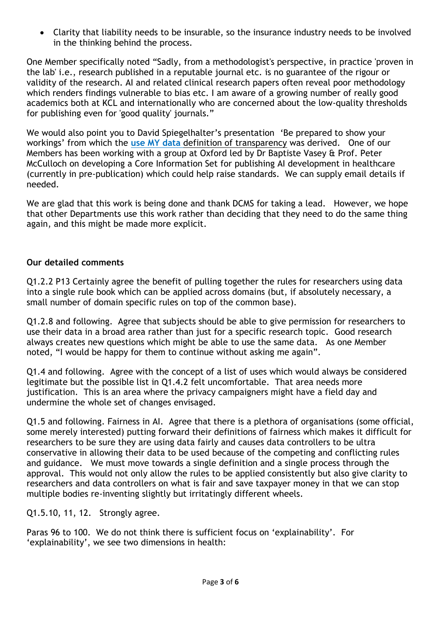• Clarity that liability needs to be insurable, so the insurance industry needs to be involved in the thinking behind the process.

One Member specifically noted "Sadly, from a methodologist's perspective, in practice 'proven in the lab' i.e., research published in a reputable journal etc. is no guarantee of the rigour or validity of the research. AI and related clinical research papers often reveal poor methodology which renders findings vulnerable to bias etc. I am aware of a growing number of really good academics both at KCL and internationally who are concerned about the low-quality thresholds for publishing even for 'good quality' journals."

We would also point you to David Spiegelhalter's presentation 'Be prepared to show your workings' from which the **use MY data** [definition of transparency](http://www.usemydata.org/projects.php?project=4) was derived. One of our Members has been working with a group at Oxford led by Dr Baptiste Vasey & Prof. Peter McCulloch on developing a Core Information Set for publishing AI development in healthcare (currently in pre-publication) which could help raise standards. We can supply email details if needed.

We are glad that this work is being done and thank DCMS for taking a lead. However, we hope that other Departments use this work rather than deciding that they need to do the same thing again, and this might be made more explicit.

## **Our detailed comments**

Q1.2.2 P13 Certainly agree the benefit of pulling together the rules for researchers using data into a single rule book which can be applied across domains (but, if absolutely necessary, a small number of domain specific rules on top of the common base).

Q1.2.8 and following. Agree that subjects should be able to give permission for researchers to use their data in a broad area rather than just for a specific research topic. Good research always creates new questions which might be able to use the same data. As one Member noted, "I would be happy for them to continue without asking me again".

Q1.4 and following. Agree with the concept of a list of uses which would always be considered legitimate but the possible list in Q1.4.2 felt uncomfortable. That area needs more justification. This is an area where the privacy campaigners might have a field day and undermine the whole set of changes envisaged.

Q1.5 and following. Fairness in AI. Agree that there is a plethora of organisations (some official, some merely interested) putting forward their definitions of fairness which makes it difficult for researchers to be sure they are using data fairly and causes data controllers to be ultra conservative in allowing their data to be used because of the competing and conflicting rules and guidance. We must move towards a single definition and a single process through the approval. This would not only allow the rules to be applied consistently but also give clarity to researchers and data controllers on what is fair and save taxpayer money in that we can stop multiple bodies re-inventing slightly but irritatingly different wheels.

Q1.5.10, 11, 12. Strongly agree.

Paras 96 to 100. We do not think there is sufficient focus on 'explainability'. For 'explainability', we see two dimensions in health: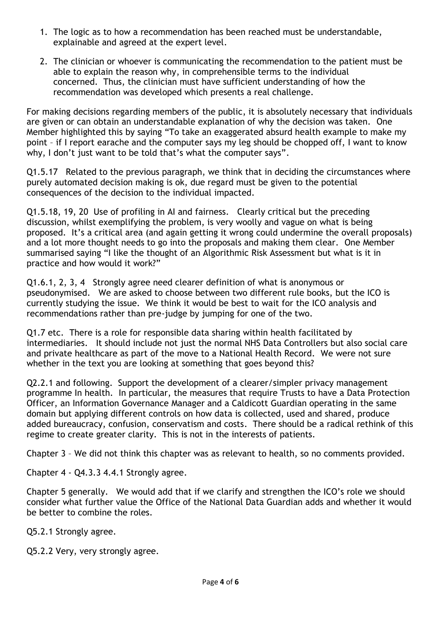- 1. The logic as to how a recommendation has been reached must be understandable, explainable and agreed at the expert level.
- 2. The clinician or whoever is communicating the recommendation to the patient must be able to explain the reason why, in comprehensible terms to the individual concerned. Thus, the clinician must have sufficient understanding of how the recommendation was developed which presents a real challenge.

For making decisions regarding members of the public, it is absolutely necessary that individuals are given or can obtain an understandable explanation of why the decision was taken. One Member highlighted this by saying "To take an exaggerated absurd health example to make my point – if I report earache and the computer says my leg should be chopped off, I want to know why, I don't just want to be told that's what the computer says".

Q1.5.17 Related to the previous paragraph, we think that in deciding the circumstances where purely automated decision making is ok, due regard must be given to the potential consequences of the decision to the individual impacted.

Q1.5.18, 19, 20 Use of profiling in AI and fairness. Clearly critical but the preceding discussion, whilst exemplifying the problem, is very woolly and vague on what is being proposed. It's a critical area (and again getting it wrong could undermine the overall proposals) and a lot more thought needs to go into the proposals and making them clear. One Member summarised saying "I like the thought of an Algorithmic Risk Assessment but what is it in practice and how would it work?"

Q1.6.1, 2, 3, 4 Strongly agree need clearer definition of what is anonymous or pseudonymised. We are asked to choose between two different rule books, but the ICO is currently studying the issue. We think it would be best to wait for the ICO analysis and recommendations rather than pre-judge by jumping for one of the two.

Q1.7 etc. There is a role for responsible data sharing within health facilitated by intermediaries. It should include not just the normal NHS Data Controllers but also social care and private healthcare as part of the move to a National Health Record. We were not sure whether in the text you are looking at something that goes beyond this?

Q2.2.1 and following. Support the development of a clearer/simpler privacy management programme In health. In particular, the measures that require Trusts to have a Data Protection Officer, an Information Governance Manager and a Caldicott Guardian operating in the same domain but applying different controls on how data is collected, used and shared, produce added bureaucracy, confusion, conservatism and costs. There should be a radical rethink of this regime to create greater clarity. This is not in the interests of patients.

Chapter 3 – We did not think this chapter was as relevant to health, so no comments provided.

Chapter 4 - Q4.3.3 4.4.1 Strongly agree.

Chapter 5 generally. We would add that if we clarify and strengthen the ICO's role we should consider what further value the Office of the National Data Guardian adds and whether it would be better to combine the roles.

Q5.2.1 Strongly agree.

Q5.2.2 Very, very strongly agree.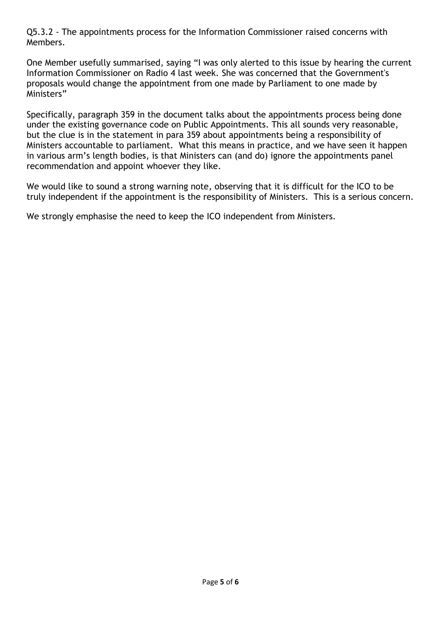Q5.3.2 - The appointments process for the Information Commissioner raised concerns with Members.

One Member usefully summarised, saying "I was only alerted to this issue by hearing the current Information Commissioner on Radio 4 last week. She was concerned that the Government's proposals would change the appointment from one made by Parliament to one made by Ministers"

Specifically, paragraph 359 in the document talks about the appointments process being done under the existing governance code on Public Appointments. This all sounds very reasonable, but the clue is in the statement in para 359 about appointments being a responsibility of Ministers accountable to parliament. What this means in practice, and we have seen it happen in various arm's length bodies, is that Ministers can (and do) ignore the appointments panel recommendation and appoint whoever they like.

We would like to sound a strong warning note, observing that it is difficult for the ICO to be truly independent if the appointment is the responsibility of Ministers. This is a serious concern.

We strongly emphasise the need to keep the ICO independent from Ministers.